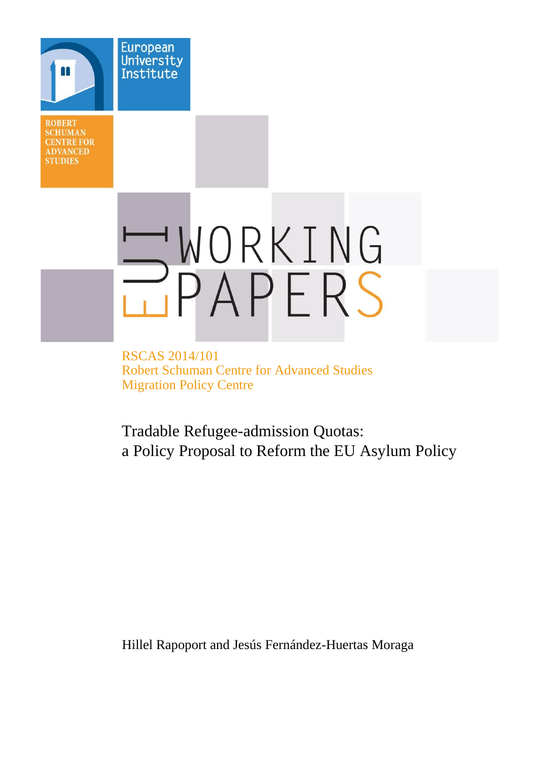**ROBERT SCHUMAN CENTRE FOR ADVANCED STUDIES** 

**European** University Institute

# WORKING

RSCAS 2014/101 Robert Schuman Centre for Advanced Studies Migration Policy Centre

Tradable Refugee-admission Quotas: a Policy Proposal to Reform the EU Asylum Policy

Hillel Rapoport and Jesús Fernández-Huertas Moraga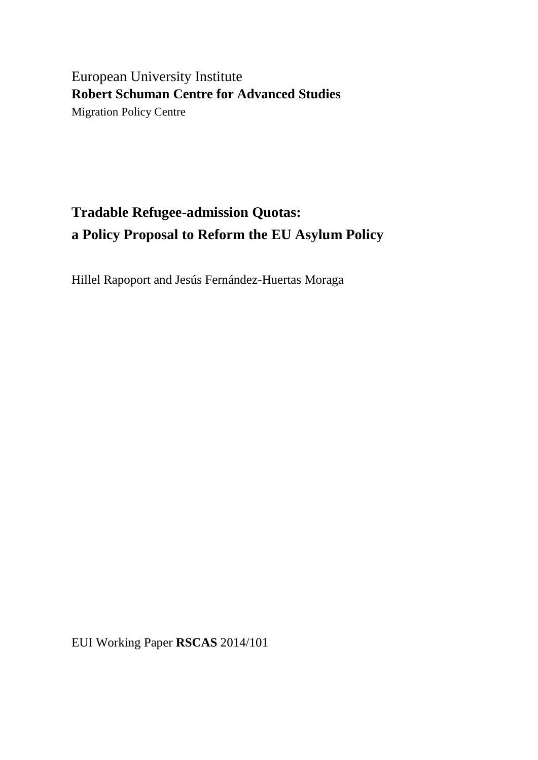# European University Institute **Robert Schuman Centre for Advanced Studies** Migration Policy Centre

# **Tradable Refugee-admission Quotas: a Policy Proposal to Reform the EU Asylum Policy**

Hillel Rapoport and Jesús Fernández-Huertas Moraga

EUI Working Paper **RSCAS** 2014/101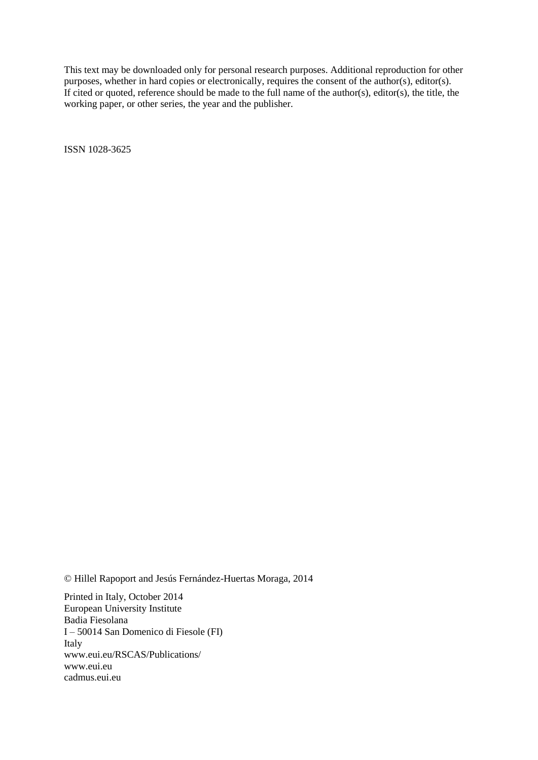This text may be downloaded only for personal research purposes. Additional reproduction for other purposes, whether in hard copies or electronically, requires the consent of the author(s), editor(s). If cited or quoted, reference should be made to the full name of the author(s), editor(s), the title, the working paper, or other series, the year and the publisher.

ISSN 1028-3625

© Hillel Rapoport and Jesús Fernández-Huertas Moraga, 2014

Printed in Italy, October 2014 European University Institute Badia Fiesolana I – 50014 San Domenico di Fiesole (FI) Italy [www.eui.eu/RSCAS/Publications/](http://www.eui.eu/RSCAS/Publications/) [www.eui.eu](http://www.eui.eu/) [cadmus.eui.eu](http://cadmus.eui.eu/dspace/index.jsp)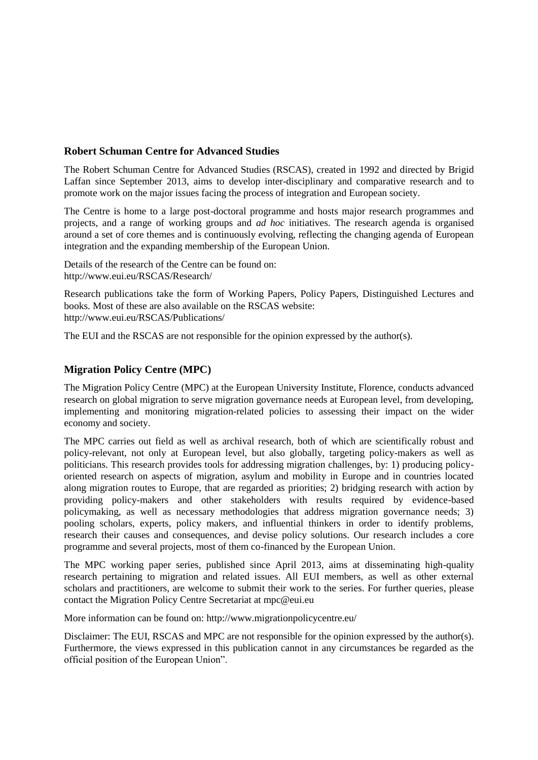# **Robert Schuman Centre for Advanced Studies**

The Robert Schuman Centre for Advanced Studies (RSCAS), created in 1992 and directed by Brigid Laffan since September 2013, aims to develop inter-disciplinary and comparative research and to promote work on the major issues facing the process of integration and European society.

The Centre is home to a large post-doctoral programme and hosts major research programmes and projects, and a range of working groups and *ad hoc* initiatives. The research agenda is organised around a set of core themes and is continuously evolving, reflecting the changing agenda of European integration and the expanding membership of the European Union.

Details of the research of the Centre can be found on: <http://www.eui.eu/RSCAS/Research/>

Research publications take the form of Working Papers, Policy Papers, Distinguished Lectures and books. Most of these are also available on the RSCAS website: <http://www.eui.eu/RSCAS/Publications/>

The EUI and the RSCAS are not responsible for the opinion expressed by the author(s).

# **Migration Policy Centre (MPC)**

The Migration Policy Centre (MPC) at the European University Institute, Florence, conducts advanced research on global migration to serve migration governance needs at European level, from developing, implementing and monitoring migration-related policies to assessing their impact on the wider economy and society.

The MPC carries out field as well as archival research, both of which are scientifically robust and policy-relevant, not only at European level, but also globally, targeting policy-makers as well as politicians. This research provides tools for addressing migration challenges, by: 1) producing policyoriented research on aspects of migration, asylum and mobility in Europe and in countries located along migration routes to Europe, that are regarded as priorities; 2) bridging research with action by providing policy-makers and other stakeholders with results required by evidence-based policymaking, as well as necessary methodologies that address migration governance needs; 3) pooling scholars, experts, policy makers, and influential thinkers in order to identify problems, research their causes and consequences, and devise policy solutions. Our research includes a core programme and several projects, most of them co-financed by the European Union.

The MPC working paper series, published since April 2013, aims at disseminating high-quality research pertaining to migration and related issues. All EUI members, as well as other external scholars and practitioners, are welcome to submit their work to the series. For further queries, please contact the Migration Policy Centre Secretariat at [mpc@eui.eu](mailto:mpc@eui.eu)

More information can be found on: <http://www.migrationpolicycentre.eu/>

Disclaimer: The EUI, RSCAS and MPC are not responsible for the opinion expressed by the author(s). Furthermore, the views expressed in this publication cannot in any circumstances be regarded as the official position of the European Union".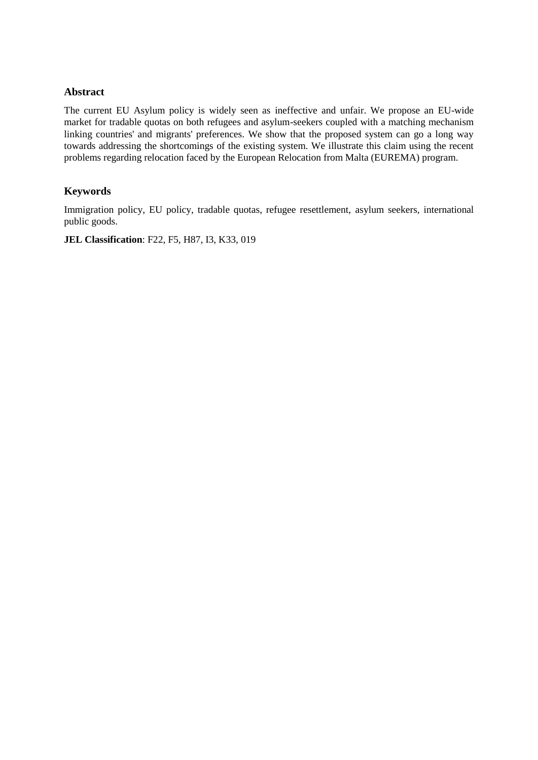## **Abstract**

The current EU Asylum policy is widely seen as ineffective and unfair. We propose an EU-wide market for tradable quotas on both refugees and asylum-seekers coupled with a matching mechanism linking countries' and migrants' preferences. We show that the proposed system can go a long way towards addressing the shortcomings of the existing system. We illustrate this claim using the recent problems regarding relocation faced by the European Relocation from Malta (EUREMA) program.

# **Keywords**

Immigration policy, EU policy, tradable quotas, refugee resettlement, asylum seekers, international public goods.

**JEL Classification**: F22, F5, H87, I3, K33, 019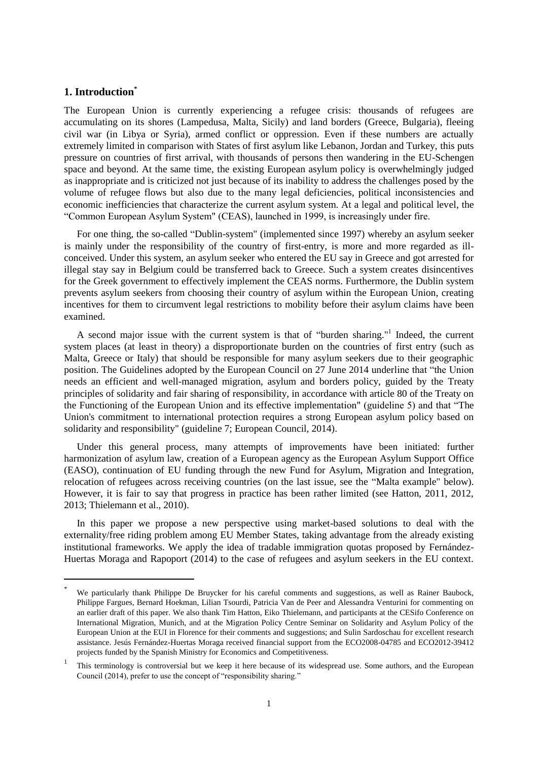#### **1. Introduction\***

 $\overline{a}$ 

The European Union is currently experiencing a refugee crisis: thousands of refugees are accumulating on its shores (Lampedusa, Malta, Sicily) and land borders (Greece, Bulgaria), fleeing civil war (in Libya or Syria), armed conflict or oppression. Even if these numbers are actually extremely limited in comparison with States of first asylum like Lebanon, Jordan and Turkey, this puts pressure on countries of first arrival, with thousands of persons then wandering in the EU-Schengen space and beyond. At the same time, the existing European asylum policy is overwhelmingly judged as inappropriate and is criticized not just because of its inability to address the challenges posed by the volume of refugee flows but also due to the many legal deficiencies, political inconsistencies and economic inefficiencies that characterize the current asylum system. At a legal and political level, the "Common European Asylum System" (CEAS), launched in 1999, is increasingly under fire.

For one thing, the so-called "Dublin-system" (implemented since 1997) whereby an asylum seeker is mainly under the responsibility of the country of first-entry, is more and more regarded as illconceived. Under this system, an asylum seeker who entered the EU say in Greece and got arrested for illegal stay say in Belgium could be transferred back to Greece. Such a system creates disincentives for the Greek government to effectively implement the CEAS norms. Furthermore, the Dublin system prevents asylum seekers from choosing their country of asylum within the European Union, creating incentives for them to circumvent legal restrictions to mobility before their asylum claims have been examined.

A second major issue with the current system is that of "burden sharing."<sup>1</sup> Indeed, the current system places (at least in theory) a disproportionate burden on the countries of first entry (such as Malta, Greece or Italy) that should be responsible for many asylum seekers due to their geographic position. The Guidelines adopted by the European Council on 27 June 2014 underline that "the Union needs an efficient and well-managed migration, asylum and borders policy, guided by the Treaty principles of solidarity and fair sharing of responsibility, in accordance with article 80 of the Treaty on the Functioning of the European Union and its effective implementation" (guideline 5) and that "The Union's commitment to international protection requires a strong European asylum policy based on solidarity and responsibility" (guideline 7; European Council, 2014).

Under this general process, many attempts of improvements have been initiated: further harmonization of asylum law, creation of a European agency as the European Asylum Support Office (EASO), continuation of EU funding through the new Fund for Asylum, Migration and Integration, relocation of refugees across receiving countries (on the last issue, see the "Malta example" below). However, it is fair to say that progress in practice has been rather limited (see Hatton, 2011, 2012, 2013; Thielemann et al., 2010).

In this paper we propose a new perspective using market-based solutions to deal with the externality/free riding problem among EU Member States, taking advantage from the already existing institutional frameworks. We apply the idea of tradable immigration quotas proposed by Fernández-Huertas Moraga and Rapoport (2014) to the case of refugees and asylum seekers in the EU context.

We particularly thank Philippe De Bruycker for his careful comments and suggestions, as well as Rainer Baubock, Philippe Fargues, Bernard Hoekman, Lilian Tsourdi, Patricia Van de Peer and Alessandra Venturini for commenting on an earlier draft of this paper. We also thank Tim Hatton, Eiko Thielemann, and participants at the CESifo Conference on International Migration, Munich, and at the Migration Policy Centre Seminar on Solidarity and Asylum Policy of the European Union at the EUI in Florence for their comments and suggestions; and Sulin Sardoschau for excellent research assistance. Jesús Fernández-Huertas Moraga received financial support from the ECO2008-04785 and ECO2012-39412 projects funded by the Spanish Ministry for Economics and Competitiveness.

<sup>1</sup> This terminology is controversial but we keep it here because of its widespread use. Some authors, and the European Council (2014), prefer to use the concept of "responsibility sharing."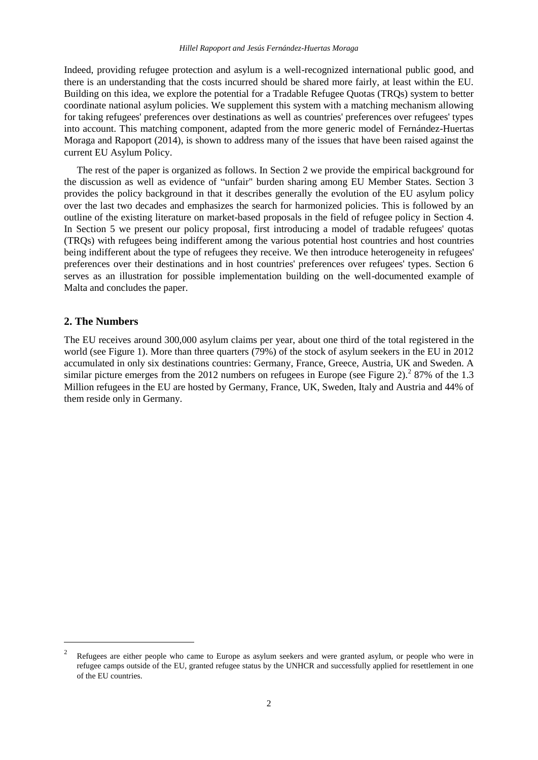Indeed, providing refugee protection and asylum is a well-recognized international public good, and there is an understanding that the costs incurred should be shared more fairly, at least within the EU. Building on this idea, we explore the potential for a Tradable Refugee Quotas (TRQs) system to better coordinate national asylum policies. We supplement this system with a matching mechanism allowing for taking refugees' preferences over destinations as well as countries' preferences over refugees' types into account. This matching component, adapted from the more generic model of Fernández-Huertas Moraga and Rapoport (2014), is shown to address many of the issues that have been raised against the current EU Asylum Policy.

The rest of the paper is organized as follows. In Section 2 we provide the empirical background for the discussion as well as evidence of "unfair" burden sharing among EU Member States. Section 3 provides the policy background in that it describes generally the evolution of the EU asylum policy over the last two decades and emphasizes the search for harmonized policies. This is followed by an outline of the existing literature on market-based proposals in the field of refugee policy in Section 4. In Section 5 we present our policy proposal, first introducing a model of tradable refugees' quotas (TRQs) with refugees being indifferent among the various potential host countries and host countries being indifferent about the type of refugees they receive. We then introduce heterogeneity in refugees' preferences over their destinations and in host countries' preferences over refugees' types. Section 6 serves as an illustration for possible implementation building on the well-documented example of Malta and concludes the paper.

#### **2. The Numbers**

l

The EU receives around 300,000 asylum claims per year, about one third of the total registered in the world (see Figure 1). More than three quarters (79%) of the stock of asylum seekers in the EU in 2012 accumulated in only six destinations countries: Germany, France, Greece, Austria, UK and Sweden. A similar picture emerges from the 2012 numbers on refugees in Europe (see Figure 2).<sup>2</sup> 87% of the 1.3 Million refugees in the EU are hosted by Germany, France, UK, Sweden, Italy and Austria and 44% of them reside only in Germany.

<sup>2</sup> Refugees are either people who came to Europe as asylum seekers and were granted asylum, or people who were in refugee camps outside of the EU, granted refugee status by the UNHCR and successfully applied for resettlement in one of the EU countries.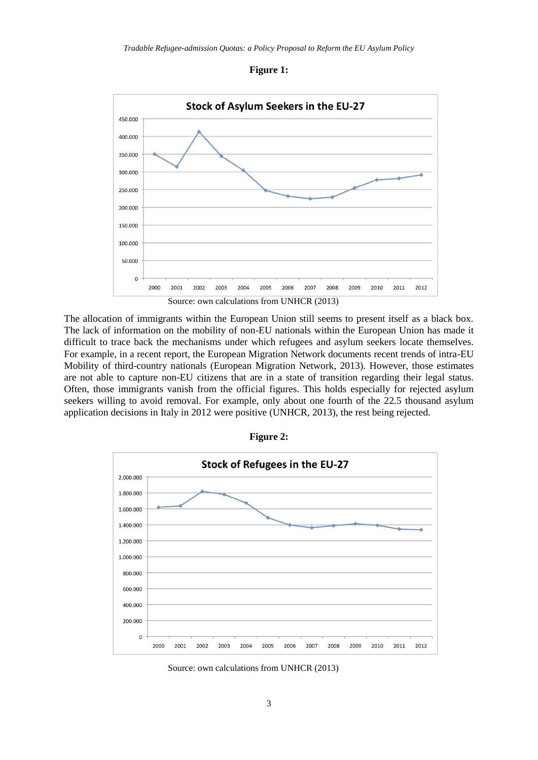



The allocation of immigrants within the European Union still seems to present itself as a black box. The lack of information on the mobility of non-EU nationals within the European Union has made it difficult to trace back the mechanisms under which refugees and asylum seekers locate themselves. For example, in a recent report, the European Migration Network documents recent trends of intra-EU Mobility of third-country nationals (European Migration Network, 2013). However, those estimates are not able to capture non-EU citizens that are in a state of transition regarding their legal status. Often, those immigrants vanish from the official figures. This holds especially for rejected asylum seekers willing to avoid removal. For example, only about one fourth of the 22.5 thousand asylum application decisions in Italy in 2012 were positive (UNHCR, 2013), the rest being rejected.



**Figure 2:**

Source: own calculations from UNHCR (2013)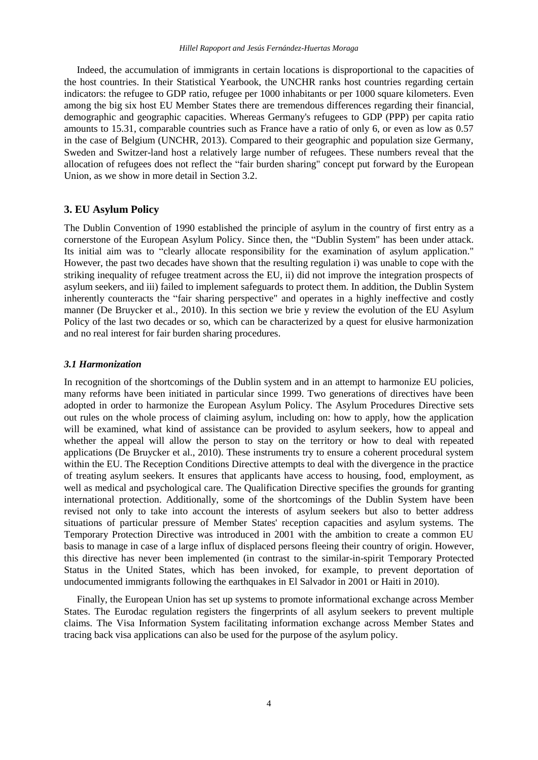Indeed, the accumulation of immigrants in certain locations is disproportional to the capacities of the host countries. In their Statistical Yearbook, the UNCHR ranks host countries regarding certain indicators: the refugee to GDP ratio, refugee per 1000 inhabitants or per 1000 square kilometers. Even among the big six host EU Member States there are tremendous differences regarding their financial, demographic and geographic capacities. Whereas Germany's refugees to GDP (PPP) per capita ratio amounts to 15.31, comparable countries such as France have a ratio of only 6, or even as low as 0.57 in the case of Belgium (UNCHR, 2013). Compared to their geographic and population size Germany, Sweden and Switzer-land host a relatively large number of refugees. These numbers reveal that the allocation of refugees does not reflect the "fair burden sharing" concept put forward by the European Union, as we show in more detail in Section 3.2.

### **3. EU Asylum Policy**

The Dublin Convention of 1990 established the principle of asylum in the country of first entry as a cornerstone of the European Asylum Policy. Since then, the "Dublin System" has been under attack. Its initial aim was to "clearly allocate responsibility for the examination of asylum application." However, the past two decades have shown that the resulting regulation i) was unable to cope with the striking inequality of refugee treatment across the EU, ii) did not improve the integration prospects of asylum seekers, and iii) failed to implement safeguards to protect them. In addition, the Dublin System inherently counteracts the "fair sharing perspective" and operates in a highly ineffective and costly manner (De Bruycker et al., 2010). In this section we brie y review the evolution of the EU Asylum Policy of the last two decades or so, which can be characterized by a quest for elusive harmonization and no real interest for fair burden sharing procedures.

#### *3.1 Harmonization*

In recognition of the shortcomings of the Dublin system and in an attempt to harmonize EU policies, many reforms have been initiated in particular since 1999. Two generations of directives have been adopted in order to harmonize the European Asylum Policy. The Asylum Procedures Directive sets out rules on the whole process of claiming asylum, including on: how to apply, how the application will be examined, what kind of assistance can be provided to asylum seekers, how to appeal and whether the appeal will allow the person to stay on the territory or how to deal with repeated applications (De Bruycker et al., 2010). These instruments try to ensure a coherent procedural system within the EU. The Reception Conditions Directive attempts to deal with the divergence in the practice of treating asylum seekers. It ensures that applicants have access to housing, food, employment, as well as medical and psychological care. The Qualification Directive specifies the grounds for granting international protection. Additionally, some of the shortcomings of the Dublin System have been revised not only to take into account the interests of asylum seekers but also to better address situations of particular pressure of Member States' reception capacities and asylum systems. The Temporary Protection Directive was introduced in 2001 with the ambition to create a common EU basis to manage in case of a large influx of displaced persons fleeing their country of origin. However, this directive has never been implemented (in contrast to the similar-in-spirit Temporary Protected Status in the United States, which has been invoked, for example, to prevent deportation of undocumented immigrants following the earthquakes in El Salvador in 2001 or Haiti in 2010).

Finally, the European Union has set up systems to promote informational exchange across Member States. The Eurodac regulation registers the fingerprints of all asylum seekers to prevent multiple claims. The Visa Information System facilitating information exchange across Member States and tracing back visa applications can also be used for the purpose of the asylum policy.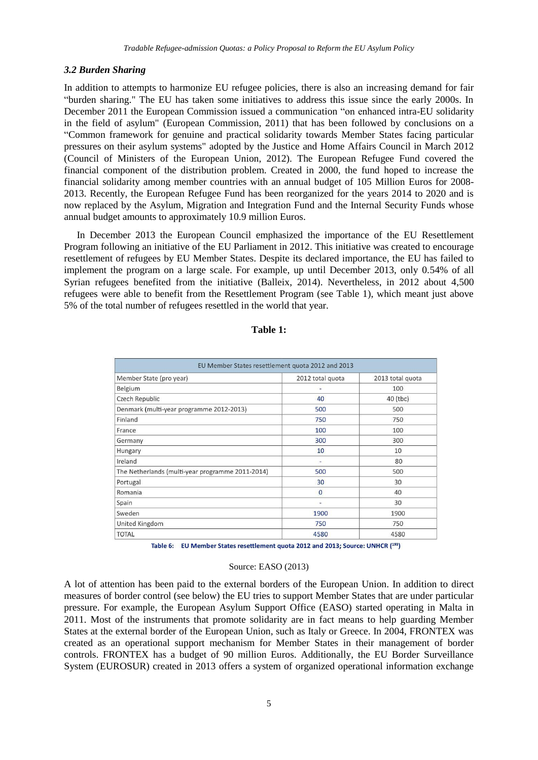#### *3.2 Burden Sharing*

In addition to attempts to harmonize EU refugee policies, there is also an increasing demand for fair "burden sharing." The EU has taken some initiatives to address this issue since the early 2000s. In December 2011 the European Commission issued a communication "on enhanced intra-EU solidarity in the field of asylum" (European Commission, 2011) that has been followed by conclusions on a "Common framework for genuine and practical solidarity towards Member States facing particular pressures on their asylum systems" adopted by the Justice and Home Affairs Council in March 2012 (Council of Ministers of the European Union, 2012). The European Refugee Fund covered the financial component of the distribution problem. Created in 2000, the fund hoped to increase the financial solidarity among member countries with an annual budget of 105 Million Euros for 2008- 2013. Recently, the European Refugee Fund has been reorganized for the years 2014 to 2020 and is now replaced by the Asylum, Migration and Integration Fund and the Internal Security Funds whose annual budget amounts to approximately 10.9 million Euros.

In December 2013 the European Council emphasized the importance of the EU Resettlement Program following an initiative of the EU Parliament in 2012. This initiative was created to encourage resettlement of refugees by EU Member States. Despite its declared importance, the EU has failed to implement the program on a large scale. For example, up until December 2013, only 0.54% of all Syrian refugees benefited from the initiative (Balleix, 2014). Nevertheless, in 2012 about 4,500 refugees were able to benefit from the Resettlement Program (see Table 1), which meant just above 5% of the total number of refugees resettled in the world that year.

| EU Member States resettlement quota 2012 and 2013 |                  |                  |  |  |
|---------------------------------------------------|------------------|------------------|--|--|
| Member State (pro year)                           | 2012 total quota | 2013 total quota |  |  |
| Belgium                                           |                  | 100              |  |  |
| Czech Republic                                    | 40               | 40 (tbc)         |  |  |
| Denmark (multi-year programme 2012-2013)          | 500              | 500              |  |  |
| Finland                                           | 750              | 750              |  |  |
| France                                            | 100              | 100              |  |  |
| Germany                                           | 300              | 300              |  |  |
| Hungary                                           | 10               | 10               |  |  |
| Ireland                                           | ۰                | 80               |  |  |
| The Netherlands (multi-year programme 2011-2014)  | 500              | 500              |  |  |
| Portugal                                          | 30               | 30               |  |  |
| Romania                                           | $\mathbf{0}$     | 40               |  |  |
| Spain                                             | $\frac{1}{2}$    | 30               |  |  |
| Sweden                                            | 1900             | 1900             |  |  |
| United Kingdom                                    | 750              | 750              |  |  |
| <b>TOTAL</b>                                      | 4580             | 4580             |  |  |

#### **Table 1:**

Table 6: EU Member States resettlement quota 2012 and 2013; Source: UNHCR (193)

#### Source: EASO (2013)

A lot of attention has been paid to the external borders of the European Union. In addition to direct measures of border control (see below) the EU tries to support Member States that are under particular pressure. For example, the European Asylum Support Office (EASO) started operating in Malta in 2011. Most of the instruments that promote solidarity are in fact means to help guarding Member States at the external border of the European Union, such as Italy or Greece. In 2004, FRONTEX was created as an operational support mechanism for Member States in their management of border controls. FRONTEX has a budget of 90 million Euros. Additionally, the EU Border Surveillance System (EUROSUR) created in 2013 offers a system of organized operational information exchange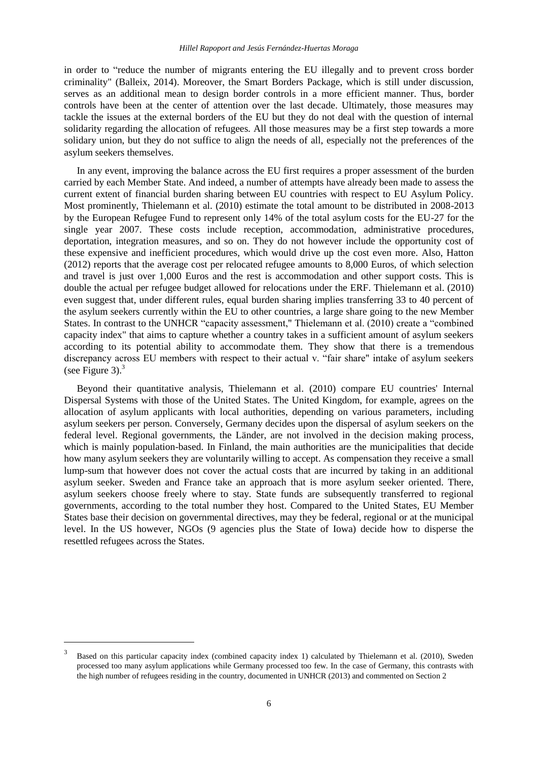in order to "reduce the number of migrants entering the EU illegally and to prevent cross border criminality" (Balleix, 2014). Moreover, the Smart Borders Package, which is still under discussion, serves as an additional mean to design border controls in a more efficient manner. Thus, border controls have been at the center of attention over the last decade. Ultimately, those measures may tackle the issues at the external borders of the EU but they do not deal with the question of internal solidarity regarding the allocation of refugees. All those measures may be a first step towards a more solidary union, but they do not suffice to align the needs of all, especially not the preferences of the asylum seekers themselves.

In any event, improving the balance across the EU first requires a proper assessment of the burden carried by each Member State. And indeed, a number of attempts have already been made to assess the current extent of financial burden sharing between EU countries with respect to EU Asylum Policy. Most prominently, Thielemann et al. (2010) estimate the total amount to be distributed in 2008-2013 by the European Refugee Fund to represent only 14% of the total asylum costs for the EU-27 for the single year 2007. These costs include reception, accommodation, administrative procedures, deportation, integration measures, and so on. They do not however include the opportunity cost of these expensive and inefficient procedures, which would drive up the cost even more. Also, Hatton (2012) reports that the average cost per relocated refugee amounts to 8,000 Euros, of which selection and travel is just over 1,000 Euros and the rest is accommodation and other support costs. This is double the actual per refugee budget allowed for relocations under the ERF. Thielemann et al. (2010) even suggest that, under different rules, equal burden sharing implies transferring 33 to 40 percent of the asylum seekers currently within the EU to other countries, a large share going to the new Member States. In contrast to the UNHCR "capacity assessment," Thielemann et al. (2010) create a "combined capacity index" that aims to capture whether a country takes in a sufficient amount of asylum seekers according to its potential ability to accommodate them. They show that there is a tremendous discrepancy across EU members with respect to their actual v. "fair share" intake of asylum seekers (see Figure 3). $3$ 

Beyond their quantitative analysis, Thielemann et al. (2010) compare EU countries' Internal Dispersal Systems with those of the United States. The United Kingdom, for example, agrees on the allocation of asylum applicants with local authorities, depending on various parameters, including asylum seekers per person. Conversely, Germany decides upon the dispersal of asylum seekers on the federal level. Regional governments, the Länder, are not involved in the decision making process, which is mainly population-based. In Finland, the main authorities are the municipalities that decide how many asylum seekers they are voluntarily willing to accept. As compensation they receive a small lump-sum that however does not cover the actual costs that are incurred by taking in an additional asylum seeker. Sweden and France take an approach that is more asylum seeker oriented. There, asylum seekers choose freely where to stay. State funds are subsequently transferred to regional governments, according to the total number they host. Compared to the United States, EU Member States base their decision on governmental directives, may they be federal, regional or at the municipal level. In the US however, NGOs (9 agencies plus the State of Iowa) decide how to disperse the resettled refugees across the States.

l

<sup>3</sup> Based on this particular capacity index (combined capacity index 1) calculated by Thielemann et al. (2010), Sweden processed too many asylum applications while Germany processed too few. In the case of Germany, this contrasts with the high number of refugees residing in the country, documented in UNHCR (2013) and commented on Section 2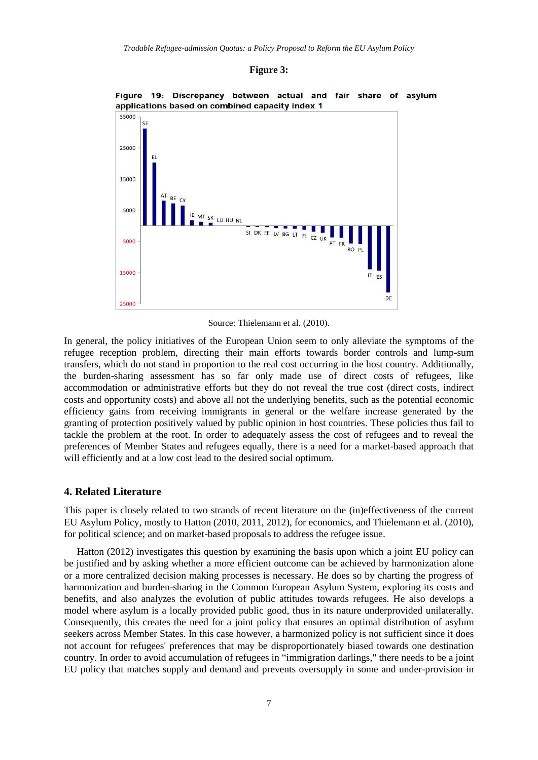#### **Figure 3:**

Figure 19: Discrepancy between actual and fair share of asylum applications based on combined capacity index 1



Source: Thielemann et al. (2010).

In general, the policy initiatives of the European Union seem to only alleviate the symptoms of the refugee reception problem, directing their main efforts towards border controls and lump-sum transfers, which do not stand in proportion to the real cost occurring in the host country. Additionally, the burden-sharing assessment has so far only made use of direct costs of refugees, like accommodation or administrative efforts but they do not reveal the true cost (direct costs, indirect costs and opportunity costs) and above all not the underlying benefits, such as the potential economic efficiency gains from receiving immigrants in general or the welfare increase generated by the granting of protection positively valued by public opinion in host countries. These policies thus fail to tackle the problem at the root. In order to adequately assess the cost of refugees and to reveal the preferences of Member States and refugees equally, there is a need for a market-based approach that will efficiently and at a low cost lead to the desired social optimum.

#### **4. Related Literature**

This paper is closely related to two strands of recent literature on the (in)effectiveness of the current EU Asylum Policy, mostly to Hatton (2010, 2011, 2012), for economics, and Thielemann et al. (2010), for political science; and on market-based proposals to address the refugee issue.

Hatton (2012) investigates this question by examining the basis upon which a joint EU policy can be justified and by asking whether a more efficient outcome can be achieved by harmonization alone or a more centralized decision making processes is necessary. He does so by charting the progress of harmonization and burden-sharing in the Common European Asylum System, exploring its costs and benefits, and also analyzes the evolution of public attitudes towards refugees. He also develops a model where asylum is a locally provided public good, thus in its nature underprovided unilaterally. Consequently, this creates the need for a joint policy that ensures an optimal distribution of asylum seekers across Member States. In this case however, a harmonized policy is not sufficient since it does not account for refugees' preferences that may be disproportionately biased towards one destination country. In order to avoid accumulation of refugees in "immigration darlings," there needs to be a joint EU policy that matches supply and demand and prevents oversupply in some and under-provision in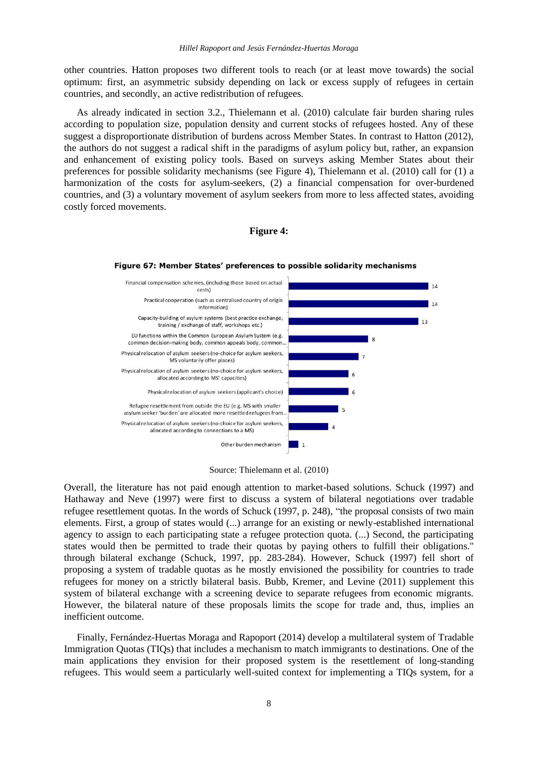other countries. Hatton proposes two different tools to reach (or at least move towards) the social optimum: first, an asymmetric subsidy depending on lack or excess supply of refugees in certain countries, and secondly, an active redistribution of refugees.

As already indicated in section 3.2., Thielemann et al. (2010) calculate fair burden sharing rules according to population size, population density and current stocks of refugees hosted. Any of these suggest a disproportionate distribution of burdens across Member States. In contrast to Hatton (2012), the authors do not suggest a radical shift in the paradigms of asylum policy but, rather, an expansion and enhancement of existing policy tools. Based on surveys asking Member States about their preferences for possible solidarity mechanisms (see Figure 4), Thielemann et al. (2010) call for (1) a harmonization of the costs for asylum-seekers, (2) a financial compensation for over-burdened countries, and (3) a voluntary movement of asylum seekers from more to less affected states, avoiding costly forced movements.

#### **Figure 4:**



#### Figure 67: Member States' preferences to possible solidarity mechanisms

Source: Thielemann et al. (2010)

Overall, the literature has not paid enough attention to market-based solutions. Schuck (1997) and Hathaway and Neve (1997) were first to discuss a system of bilateral negotiations over tradable refugee resettlement quotas. In the words of Schuck (1997, p. 248), "the proposal consists of two main elements. First, a group of states would (...) arrange for an existing or newly-established international agency to assign to each participating state a refugee protection quota. (...) Second, the participating states would then be permitted to trade their quotas by paying others to fulfill their obligations." through bilateral exchange (Schuck, 1997, pp. 283-284). However, Schuck (1997) fell short of proposing a system of tradable quotas as he mostly envisioned the possibility for countries to trade refugees for money on a strictly bilateral basis. Bubb, Kremer, and Levine (2011) supplement this system of bilateral exchange with a screening device to separate refugees from economic migrants. However, the bilateral nature of these proposals limits the scope for trade and, thus, implies an inefficient outcome.

Finally, Fernández-Huertas Moraga and Rapoport (2014) develop a multilateral system of Tradable Immigration Quotas (TIQs) that includes a mechanism to match immigrants to destinations. One of the main applications they envision for their proposed system is the resettlement of long-standing refugees. This would seem a particularly well-suited context for implementing a TIQs system, for a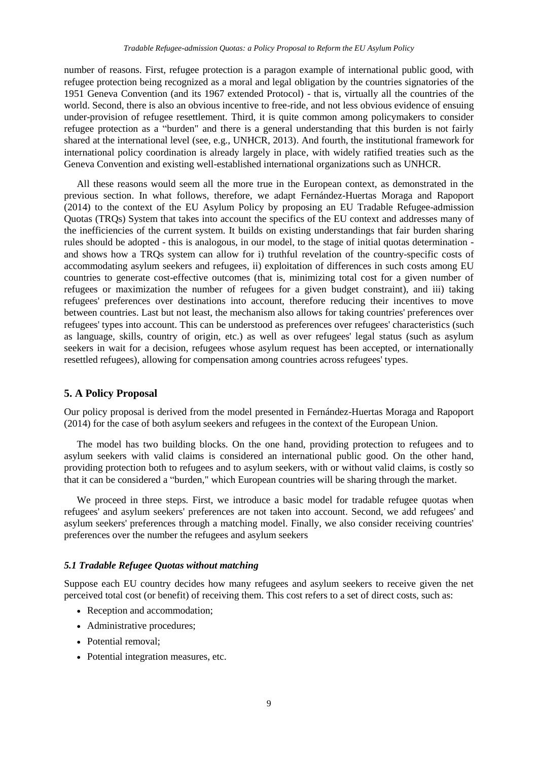number of reasons. First, refugee protection is a paragon example of international public good, with refugee protection being recognized as a moral and legal obligation by the countries signatories of the 1951 Geneva Convention (and its 1967 extended Protocol) - that is, virtually all the countries of the world. Second, there is also an obvious incentive to free-ride, and not less obvious evidence of ensuing under-provision of refugee resettlement. Third, it is quite common among policymakers to consider refugee protection as a "burden" and there is a general understanding that this burden is not fairly shared at the international level (see, e.g., UNHCR, 2013). And fourth, the institutional framework for international policy coordination is already largely in place, with widely ratified treaties such as the Geneva Convention and existing well-established international organizations such as UNHCR.

All these reasons would seem all the more true in the European context, as demonstrated in the previous section. In what follows, therefore, we adapt Fernández-Huertas Moraga and Rapoport (2014) to the context of the EU Asylum Policy by proposing an EU Tradable Refugee-admission Quotas (TRQs) System that takes into account the specifics of the EU context and addresses many of the inefficiencies of the current system. It builds on existing understandings that fair burden sharing rules should be adopted - this is analogous, in our model, to the stage of initial quotas determination and shows how a TRQs system can allow for i) truthful revelation of the country-specific costs of accommodating asylum seekers and refugees, ii) exploitation of differences in such costs among EU countries to generate cost-effective outcomes (that is, minimizing total cost for a given number of refugees or maximization the number of refugees for a given budget constraint), and iii) taking refugees' preferences over destinations into account, therefore reducing their incentives to move between countries. Last but not least, the mechanism also allows for taking countries' preferences over refugees' types into account. This can be understood as preferences over refugees' characteristics (such as language, skills, country of origin, etc.) as well as over refugees' legal status (such as asylum seekers in wait for a decision, refugees whose asylum request has been accepted, or internationally resettled refugees), allowing for compensation among countries across refugees' types.

#### **5. A Policy Proposal**

Our policy proposal is derived from the model presented in Fernández-Huertas Moraga and Rapoport (2014) for the case of both asylum seekers and refugees in the context of the European Union.

The model has two building blocks. On the one hand, providing protection to refugees and to asylum seekers with valid claims is considered an international public good. On the other hand, providing protection both to refugees and to asylum seekers, with or without valid claims, is costly so that it can be considered a "burden," which European countries will be sharing through the market.

We proceed in three steps. First, we introduce a basic model for tradable refugee quotas when refugees' and asylum seekers' preferences are not taken into account. Second, we add refugees' and asylum seekers' preferences through a matching model. Finally, we also consider receiving countries' preferences over the number the refugees and asylum seekers

#### *5.1 Tradable Refugee Quotas without matching*

Suppose each EU country decides how many refugees and asylum seekers to receive given the net perceived total cost (or benefit) of receiving them. This cost refers to a set of direct costs, such as:

- Reception and accommodation;
- Administrative procedures;
- Potential removal;
- Potential integration measures, etc.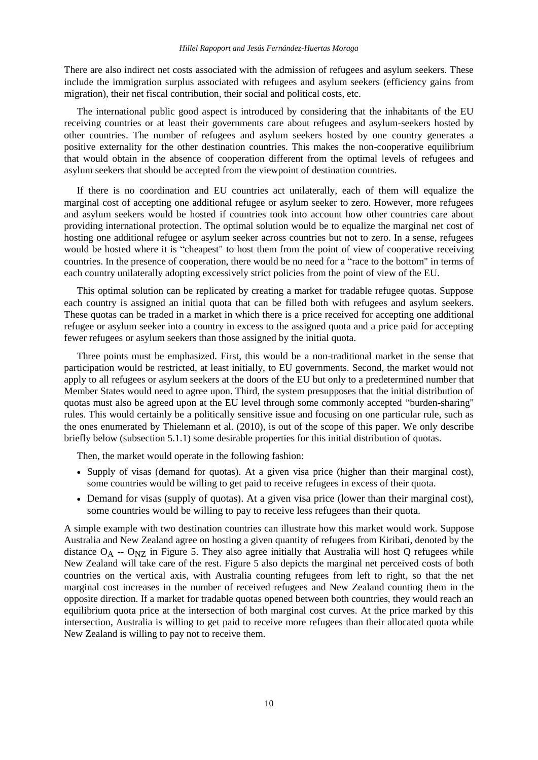There are also indirect net costs associated with the admission of refugees and asylum seekers. These include the immigration surplus associated with refugees and asylum seekers (efficiency gains from migration), their net fiscal contribution, their social and political costs, etc.

The international public good aspect is introduced by considering that the inhabitants of the EU receiving countries or at least their governments care about refugees and asylum-seekers hosted by other countries. The number of refugees and asylum seekers hosted by one country generates a positive externality for the other destination countries. This makes the non-cooperative equilibrium that would obtain in the absence of cooperation different from the optimal levels of refugees and asylum seekers that should be accepted from the viewpoint of destination countries.

If there is no coordination and EU countries act unilaterally, each of them will equalize the marginal cost of accepting one additional refugee or asylum seeker to zero. However, more refugees and asylum seekers would be hosted if countries took into account how other countries care about providing international protection. The optimal solution would be to equalize the marginal net cost of hosting one additional refugee or asylum seeker across countries but not to zero. In a sense, refugees would be hosted where it is "cheapest" to host them from the point of view of cooperative receiving countries. In the presence of cooperation, there would be no need for a "race to the bottom" in terms of each country unilaterally adopting excessively strict policies from the point of view of the EU.

This optimal solution can be replicated by creating a market for tradable refugee quotas. Suppose each country is assigned an initial quota that can be filled both with refugees and asylum seekers. These quotas can be traded in a market in which there is a price received for accepting one additional refugee or asylum seeker into a country in excess to the assigned quota and a price paid for accepting fewer refugees or asylum seekers than those assigned by the initial quota.

Three points must be emphasized. First, this would be a non-traditional market in the sense that participation would be restricted, at least initially, to EU governments. Second, the market would not apply to all refugees or asylum seekers at the doors of the EU but only to a predetermined number that Member States would need to agree upon. Third, the system presupposes that the initial distribution of quotas must also be agreed upon at the EU level through some commonly accepted "burden-sharing" rules. This would certainly be a politically sensitive issue and focusing on one particular rule, such as the ones enumerated by Thielemann et al. (2010), is out of the scope of this paper. We only describe briefly below (subsection 5.1.1) some desirable properties for this initial distribution of quotas.

Then, the market would operate in the following fashion:

- Supply of visas (demand for quotas). At a given visa price (higher than their marginal cost), some countries would be willing to get paid to receive refugees in excess of their quota.
- Demand for visas (supply of quotas). At a given visa price (lower than their marginal cost), some countries would be willing to pay to receive less refugees than their quota.

A simple example with two destination countries can illustrate how this market would work. Suppose Australia and New Zealand agree on hosting a given quantity of refugees from Kiribati, denoted by the distance  $O_A - O_{NZ}$  in Figure 5. They also agree initially that Australia will host Q refugees while New Zealand will take care of the rest. Figure 5 also depicts the marginal net perceived costs of both countries on the vertical axis, with Australia counting refugees from left to right, so that the net marginal cost increases in the number of received refugees and New Zealand counting them in the opposite direction. If a market for tradable quotas opened between both countries, they would reach an equilibrium quota price at the intersection of both marginal cost curves. At the price marked by this intersection, Australia is willing to get paid to receive more refugees than their allocated quota while New Zealand is willing to pay not to receive them.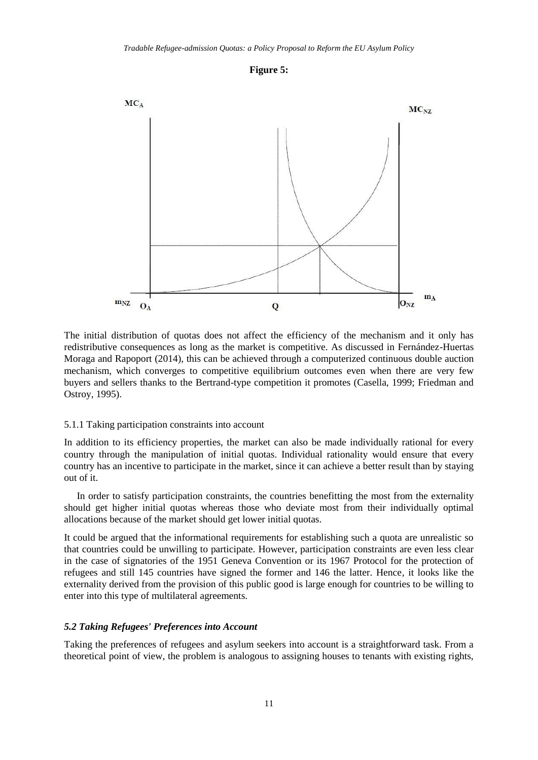



The initial distribution of quotas does not affect the efficiency of the mechanism and it only has redistributive consequences as long as the market is competitive. As discussed in Fernández-Huertas Moraga and Rapoport (2014), this can be achieved through a computerized continuous double auction mechanism, which converges to competitive equilibrium outcomes even when there are very few buyers and sellers thanks to the Bertrand-type competition it promotes (Casella, 1999; Friedman and Ostroy, 1995).

#### 5.1.1 Taking participation constraints into account

In addition to its efficiency properties, the market can also be made individually rational for every country through the manipulation of initial quotas. Individual rationality would ensure that every country has an incentive to participate in the market, since it can achieve a better result than by staying out of it.

In order to satisfy participation constraints, the countries benefitting the most from the externality should get higher initial quotas whereas those who deviate most from their individually optimal allocations because of the market should get lower initial quotas.

It could be argued that the informational requirements for establishing such a quota are unrealistic so that countries could be unwilling to participate. However, participation constraints are even less clear in the case of signatories of the 1951 Geneva Convention or its 1967 Protocol for the protection of refugees and still 145 countries have signed the former and 146 the latter. Hence, it looks like the externality derived from the provision of this public good is large enough for countries to be willing to enter into this type of multilateral agreements.

#### *5.2 Taking Refugees' Preferences into Account*

Taking the preferences of refugees and asylum seekers into account is a straightforward task. From a theoretical point of view, the problem is analogous to assigning houses to tenants with existing rights,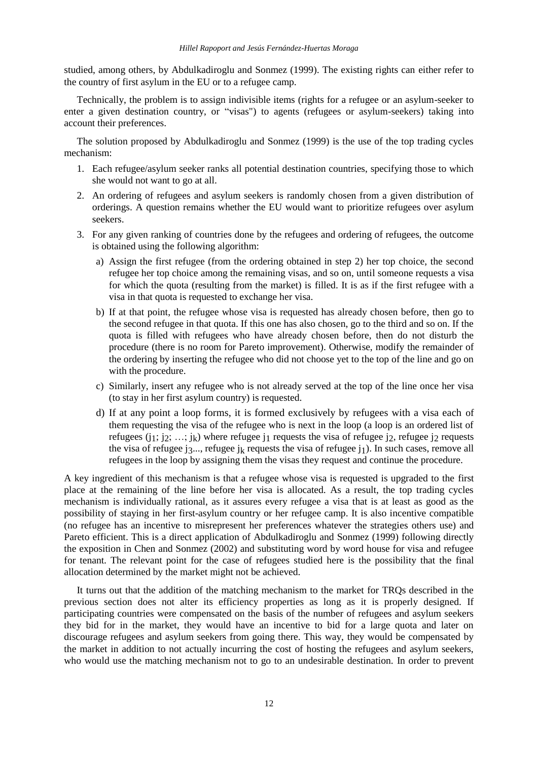studied, among others, by Abdulkadiroglu and Sonmez (1999). The existing rights can either refer to the country of first asylum in the EU or to a refugee camp.

Technically, the problem is to assign indivisible items (rights for a refugee or an asylum-seeker to enter a given destination country, or "visas") to agents (refugees or asylum-seekers) taking into account their preferences.

The solution proposed by Abdulkadiroglu and Sonmez (1999) is the use of the top trading cycles mechanism:

- 1. Each refugee/asylum seeker ranks all potential destination countries, specifying those to which she would not want to go at all.
- 2. An ordering of refugees and asylum seekers is randomly chosen from a given distribution of orderings. A question remains whether the EU would want to prioritize refugees over asylum seekers.
- 3. For any given ranking of countries done by the refugees and ordering of refugees, the outcome is obtained using the following algorithm:
	- a) Assign the first refugee (from the ordering obtained in step 2) her top choice, the second refugee her top choice among the remaining visas, and so on, until someone requests a visa for which the quota (resulting from the market) is filled. It is as if the first refugee with a visa in that quota is requested to exchange her visa.
	- b) If at that point, the refugee whose visa is requested has already chosen before, then go to the second refugee in that quota. If this one has also chosen, go to the third and so on. If the quota is filled with refugees who have already chosen before, then do not disturb the procedure (there is no room for Pareto improvement). Otherwise, modify the remainder of the ordering by inserting the refugee who did not choose yet to the top of the line and go on with the procedure.
	- c) Similarly, insert any refugee who is not already served at the top of the line once her visa (to stay in her first asylum country) is requested.
	- d) If at any point a loop forms, it is formed exclusively by refugees with a visa each of them requesting the visa of the refugee who is next in the loop (a loop is an ordered list of refugees  $(j_1; j_2; ...; j_k)$  where refugee  $j_1$  requests the visa of refugee  $j_2$ , refugee  $j_2$  requests the visa of refugee j3..., refugee j<sub>k</sub> requests the visa of refugee j<sub>1</sub>). In such cases, remove all refugees in the loop by assigning them the visas they request and continue the procedure.

A key ingredient of this mechanism is that a refugee whose visa is requested is upgraded to the first place at the remaining of the line before her visa is allocated. As a result, the top trading cycles mechanism is individually rational, as it assures every refugee a visa that is at least as good as the possibility of staying in her first-asylum country or her refugee camp. It is also incentive compatible (no refugee has an incentive to misrepresent her preferences whatever the strategies others use) and Pareto efficient. This is a direct application of Abdulkadiroglu and Sonmez (1999) following directly the exposition in Chen and Sonmez (2002) and substituting word by word house for visa and refugee for tenant. The relevant point for the case of refugees studied here is the possibility that the final allocation determined by the market might not be achieved.

It turns out that the addition of the matching mechanism to the market for TRQs described in the previous section does not alter its efficiency properties as long as it is properly designed. If participating countries were compensated on the basis of the number of refugees and asylum seekers they bid for in the market, they would have an incentive to bid for a large quota and later on discourage refugees and asylum seekers from going there. This way, they would be compensated by the market in addition to not actually incurring the cost of hosting the refugees and asylum seekers, who would use the matching mechanism not to go to an undesirable destination. In order to prevent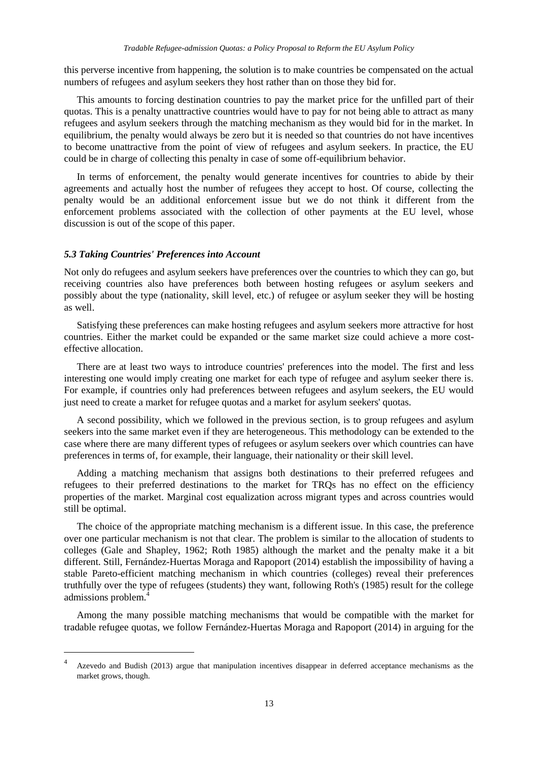this perverse incentive from happening, the solution is to make countries be compensated on the actual numbers of refugees and asylum seekers they host rather than on those they bid for.

This amounts to forcing destination countries to pay the market price for the unfilled part of their quotas. This is a penalty unattractive countries would have to pay for not being able to attract as many refugees and asylum seekers through the matching mechanism as they would bid for in the market. In equilibrium, the penalty would always be zero but it is needed so that countries do not have incentives to become unattractive from the point of view of refugees and asylum seekers. In practice, the EU could be in charge of collecting this penalty in case of some off-equilibrium behavior.

In terms of enforcement, the penalty would generate incentives for countries to abide by their agreements and actually host the number of refugees they accept to host. Of course, collecting the penalty would be an additional enforcement issue but we do not think it different from the enforcement problems associated with the collection of other payments at the EU level, whose discussion is out of the scope of this paper.

#### *5.3 Taking Countries' Preferences into Account*

 $\overline{\phantom{a}}$ 

Not only do refugees and asylum seekers have preferences over the countries to which they can go, but receiving countries also have preferences both between hosting refugees or asylum seekers and possibly about the type (nationality, skill level, etc.) of refugee or asylum seeker they will be hosting as well.

Satisfying these preferences can make hosting refugees and asylum seekers more attractive for host countries. Either the market could be expanded or the same market size could achieve a more costeffective allocation.

There are at least two ways to introduce countries' preferences into the model. The first and less interesting one would imply creating one market for each type of refugee and asylum seeker there is. For example, if countries only had preferences between refugees and asylum seekers, the EU would just need to create a market for refugee quotas and a market for asylum seekers' quotas.

A second possibility, which we followed in the previous section, is to group refugees and asylum seekers into the same market even if they are heterogeneous. This methodology can be extended to the case where there are many different types of refugees or asylum seekers over which countries can have preferences in terms of, for example, their language, their nationality or their skill level.

Adding a matching mechanism that assigns both destinations to their preferred refugees and refugees to their preferred destinations to the market for TRQs has no effect on the efficiency properties of the market. Marginal cost equalization across migrant types and across countries would still be optimal.

The choice of the appropriate matching mechanism is a different issue. In this case, the preference over one particular mechanism is not that clear. The problem is similar to the allocation of students to colleges (Gale and Shapley, 1962; Roth 1985) although the market and the penalty make it a bit different. Still, Fernández-Huertas Moraga and Rapoport (2014) establish the impossibility of having a stable Pareto-efficient matching mechanism in which countries (colleges) reveal their preferences truthfully over the type of refugees (students) they want, following Roth's (1985) result for the college admissions problem.<sup>4</sup>

Among the many possible matching mechanisms that would be compatible with the market for tradable refugee quotas, we follow Fernández-Huertas Moraga and Rapoport (2014) in arguing for the

<sup>4</sup> Azevedo and Budish (2013) argue that manipulation incentives disappear in deferred acceptance mechanisms as the market grows, though.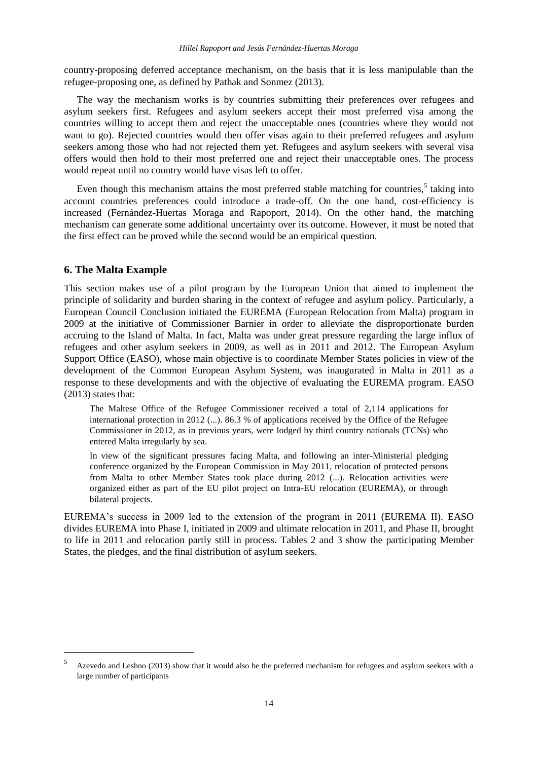country-proposing deferred acceptance mechanism, on the basis that it is less manipulable than the refugee-proposing one, as defined by Pathak and Sonmez (2013).

The way the mechanism works is by countries submitting their preferences over refugees and asylum seekers first. Refugees and asylum seekers accept their most preferred visa among the countries willing to accept them and reject the unacceptable ones (countries where they would not want to go). Rejected countries would then offer visas again to their preferred refugees and asylum seekers among those who had not rejected them yet. Refugees and asylum seekers with several visa offers would then hold to their most preferred one and reject their unacceptable ones. The process would repeat until no country would have visas left to offer.

Even though this mechanism attains the most preferred stable matching for countries, $5$  taking into account countries preferences could introduce a trade-off. On the one hand, cost-efficiency is increased (Fernández-Huertas Moraga and Rapoport, 2014). On the other hand, the matching mechanism can generate some additional uncertainty over its outcome. However, it must be noted that the first effect can be proved while the second would be an empirical question.

#### **6. The Malta Example**

 $\overline{\phantom{a}}$ 

This section makes use of a pilot program by the European Union that aimed to implement the principle of solidarity and burden sharing in the context of refugee and asylum policy. Particularly, a European Council Conclusion initiated the EUREMA (European Relocation from Malta) program in 2009 at the initiative of Commissioner Barnier in order to alleviate the disproportionate burden accruing to the Island of Malta. In fact, Malta was under great pressure regarding the large influx of refugees and other asylum seekers in 2009, as well as in 2011 and 2012. The European Asylum Support Office (EASO), whose main objective is to coordinate Member States policies in view of the development of the Common European Asylum System, was inaugurated in Malta in 2011 as a response to these developments and with the objective of evaluating the EUREMA program. EASO  $(2013)$  states that:

The Maltese Office of the Refugee Commissioner received a total of 2,114 applications for international protection in 2012 (...). 86.3 % of applications received by the Office of the Refugee Commissioner in 2012, as in previous years, were lodged by third country nationals (TCNs) who entered Malta irregularly by sea.

In view of the significant pressures facing Malta, and following an inter-Ministerial pledging conference organized by the European Commission in May 2011, relocation of protected persons from Malta to other Member States took place during 2012 (...). Relocation activities were organized either as part of the EU pilot project on Intra-EU relocation (EUREMA), or through bilateral projects.

EUREMA's success in 2009 led to the extension of the program in 2011 (EUREMA II). EASO divides EUREMA into Phase I, initiated in 2009 and ultimate relocation in 2011, and Phase II, brought to life in 2011 and relocation partly still in process. Tables 2 and 3 show the participating Member States, the pledges, and the final distribution of asylum seekers.

<sup>5</sup> Azevedo and Leshno (2013) show that it would also be the preferred mechanism for refugees and asylum seekers with a large number of participants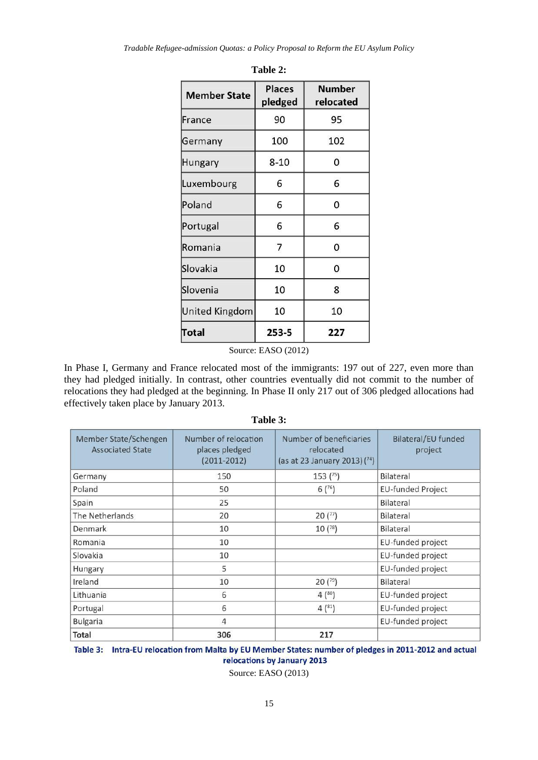| <b>Member State</b>   | <b>Places</b><br>pledged | <b>Number</b><br>relocated |  |
|-----------------------|--------------------------|----------------------------|--|
| France                | 90                       | 95                         |  |
| Germany               | 100                      | 102                        |  |
| <b>Hungary</b>        | $8 - 10$                 | 0                          |  |
| Luxembourg            | 6                        | 6                          |  |
| Poland                | 6                        | 0                          |  |
| Portugal              | 6                        | 6                          |  |
| Romania               | 7                        | 0                          |  |
| Slovakia              | 10                       | 0                          |  |
| Slovenia              | 10                       | 8                          |  |
| <b>United Kingdom</b> | 10                       | 10                         |  |
| Total                 | 253-5                    | 227                        |  |

**Table 2:**

Source: EASO (2012)

In Phase I, Germany and France relocated most of the immigrants: 197 out of 227, even more than they had pledged initially. In contrast, other countries eventually did not commit to the number of relocations they had pledged at the beginning. In Phase II only 217 out of 306 pledged allocations had effectively taken place by January 2013.

| Member State/Schengen<br><b>Associated State</b> | Number of relocation<br>places pledged<br>$(2011 - 2012)$ | Number of beneficiaries<br>relocated<br>(as at 23 January 2013) (74) | Bilateral/EU funded<br>project |
|--------------------------------------------------|-----------------------------------------------------------|----------------------------------------------------------------------|--------------------------------|
| Germany                                          | 150                                                       | 153 <sup>(75)</sup>                                                  | Bilateral                      |
| Poland                                           | 50                                                        | 6(76)                                                                | <b>EU-funded Project</b>       |
| Spain                                            | 25                                                        |                                                                      | Bilateral                      |
| The Netherlands                                  | 20                                                        | 20(77)                                                               | Bilateral                      |
| Denmark                                          | 10                                                        | 10(78)                                                               | Bilateral                      |
| Romania                                          | 10                                                        |                                                                      | EU-funded project              |
| Slovakia                                         | 10                                                        |                                                                      | EU-funded project              |
| Hungary                                          | 5                                                         |                                                                      | EU-funded project              |
| Ireland                                          | 10                                                        | 20(79)                                                               | Bilateral                      |
| Lithuania                                        | 6                                                         | $4^{(80)}$                                                           | EU-funded project              |
| Portugal                                         | 6                                                         | $4^{(81)}$                                                           | EU-funded project              |
| <b>Bulgaria</b>                                  | 4                                                         |                                                                      | EU-funded project              |
| Total                                            | 306                                                       | 217                                                                  |                                |

**Table 3:**

Table 3: Intra-EU relocation from Malta by EU Member States: number of pledges in 2011-2012 and actual relocations by January 2013

Source: EASO (2013)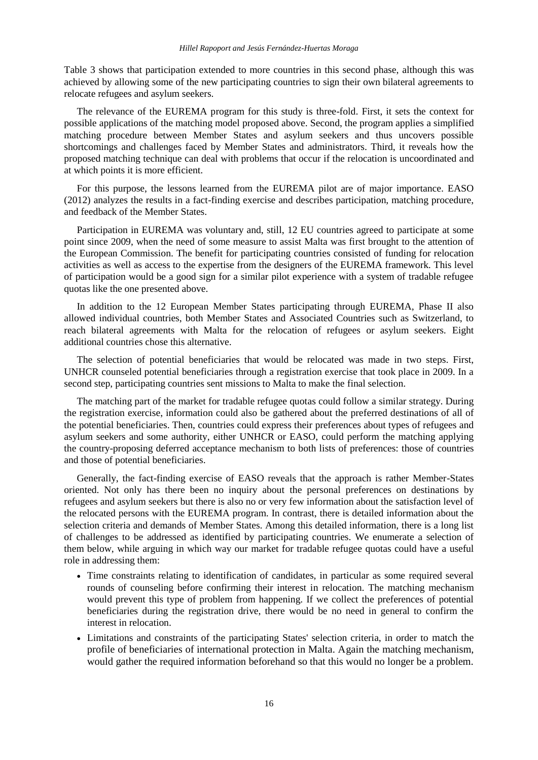Table 3 shows that participation extended to more countries in this second phase, although this was achieved by allowing some of the new participating countries to sign their own bilateral agreements to relocate refugees and asylum seekers.

The relevance of the EUREMA program for this study is three-fold. First, it sets the context for possible applications of the matching model proposed above. Second, the program applies a simplified matching procedure between Member States and asylum seekers and thus uncovers possible shortcomings and challenges faced by Member States and administrators. Third, it reveals how the proposed matching technique can deal with problems that occur if the relocation is uncoordinated and at which points it is more efficient.

For this purpose, the lessons learned from the EUREMA pilot are of major importance. EASO (2012) analyzes the results in a fact-finding exercise and describes participation, matching procedure, and feedback of the Member States.

Participation in EUREMA was voluntary and, still, 12 EU countries agreed to participate at some point since 2009, when the need of some measure to assist Malta was first brought to the attention of the European Commission. The benefit for participating countries consisted of funding for relocation activities as well as access to the expertise from the designers of the EUREMA framework. This level of participation would be a good sign for a similar pilot experience with a system of tradable refugee quotas like the one presented above.

In addition to the 12 European Member States participating through EUREMA, Phase II also allowed individual countries, both Member States and Associated Countries such as Switzerland, to reach bilateral agreements with Malta for the relocation of refugees or asylum seekers. Eight additional countries chose this alternative.

The selection of potential beneficiaries that would be relocated was made in two steps. First, UNHCR counseled potential beneficiaries through a registration exercise that took place in 2009. In a second step, participating countries sent missions to Malta to make the final selection.

The matching part of the market for tradable refugee quotas could follow a similar strategy. During the registration exercise, information could also be gathered about the preferred destinations of all of the potential beneficiaries. Then, countries could express their preferences about types of refugees and asylum seekers and some authority, either UNHCR or EASO, could perform the matching applying the country-proposing deferred acceptance mechanism to both lists of preferences: those of countries and those of potential beneficiaries.

Generally, the fact-finding exercise of EASO reveals that the approach is rather Member-States oriented. Not only has there been no inquiry about the personal preferences on destinations by refugees and asylum seekers but there is also no or very few information about the satisfaction level of the relocated persons with the EUREMA program. In contrast, there is detailed information about the selection criteria and demands of Member States. Among this detailed information, there is a long list of challenges to be addressed as identified by participating countries. We enumerate a selection of them below, while arguing in which way our market for tradable refugee quotas could have a useful role in addressing them:

- Time constraints relating to identification of candidates, in particular as some required several rounds of counseling before confirming their interest in relocation. The matching mechanism would prevent this type of problem from happening. If we collect the preferences of potential beneficiaries during the registration drive, there would be no need in general to confirm the interest in relocation.
- Limitations and constraints of the participating States' selection criteria, in order to match the profile of beneficiaries of international protection in Malta. Again the matching mechanism, would gather the required information beforehand so that this would no longer be a problem.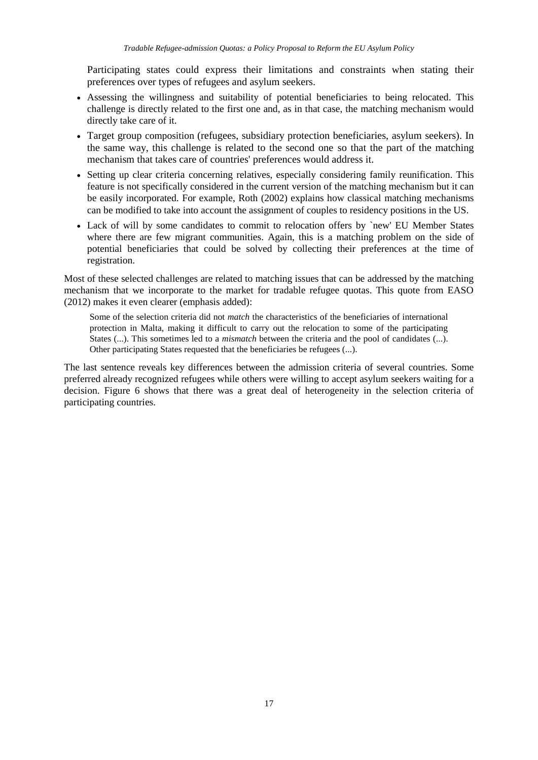Participating states could express their limitations and constraints when stating their preferences over types of refugees and asylum seekers.

- Assessing the willingness and suitability of potential beneficiaries to being relocated. This challenge is directly related to the first one and, as in that case, the matching mechanism would directly take care of it.
- Target group composition (refugees, subsidiary protection beneficiaries, asylum seekers). In the same way, this challenge is related to the second one so that the part of the matching mechanism that takes care of countries' preferences would address it.
- Setting up clear criteria concerning relatives, especially considering family reunification. This feature is not specifically considered in the current version of the matching mechanism but it can be easily incorporated. For example, Roth (2002) explains how classical matching mechanisms can be modified to take into account the assignment of couples to residency positions in the US.
- Lack of will by some candidates to commit to relocation offers by `new' EU Member States where there are few migrant communities. Again, this is a matching problem on the side of potential beneficiaries that could be solved by collecting their preferences at the time of registration.

Most of these selected challenges are related to matching issues that can be addressed by the matching mechanism that we incorporate to the market for tradable refugee quotas. This quote from EASO (2012) makes it even clearer (emphasis added):

Some of the selection criteria did not *match* the characteristics of the beneficiaries of international protection in Malta, making it difficult to carry out the relocation to some of the participating States (...). This sometimes led to a *mismatch* between the criteria and the pool of candidates (...). Other participating States requested that the beneficiaries be refugees (...).

The last sentence reveals key differences between the admission criteria of several countries. Some preferred already recognized refugees while others were willing to accept asylum seekers waiting for a decision. Figure 6 shows that there was a great deal of heterogeneity in the selection criteria of participating countries.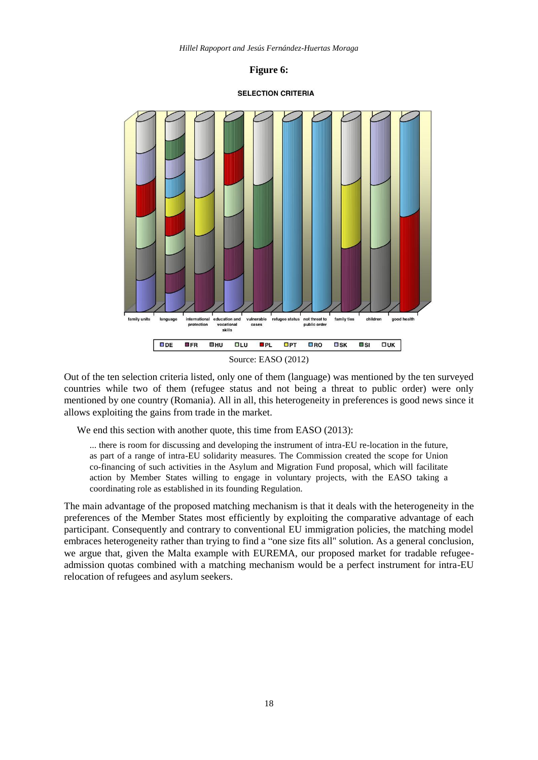#### **Figure 6:**

#### **SELECTION CRITERIA**



Source: EASO (2012)

Out of the ten selection criteria listed, only one of them (language) was mentioned by the ten surveyed countries while two of them (refugee status and not being a threat to public order) were only mentioned by one country (Romania). All in all, this heterogeneity in preferences is good news since it allows exploiting the gains from trade in the market.

We end this section with another quote, this time from EASO (2013):

... there is room for discussing and developing the instrument of intra-EU re-location in the future, as part of a range of intra-EU solidarity measures. The Commission created the scope for Union co-financing of such activities in the Asylum and Migration Fund proposal, which will facilitate action by Member States willing to engage in voluntary projects, with the EASO taking a coordinating role as established in its founding Regulation.

The main advantage of the proposed matching mechanism is that it deals with the heterogeneity in the preferences of the Member States most efficiently by exploiting the comparative advantage of each participant. Consequently and contrary to conventional EU immigration policies, the matching model embraces heterogeneity rather than trying to find a "one size fits all" solution. As a general conclusion, we argue that, given the Malta example with EUREMA, our proposed market for tradable refugeeadmission quotas combined with a matching mechanism would be a perfect instrument for intra-EU relocation of refugees and asylum seekers.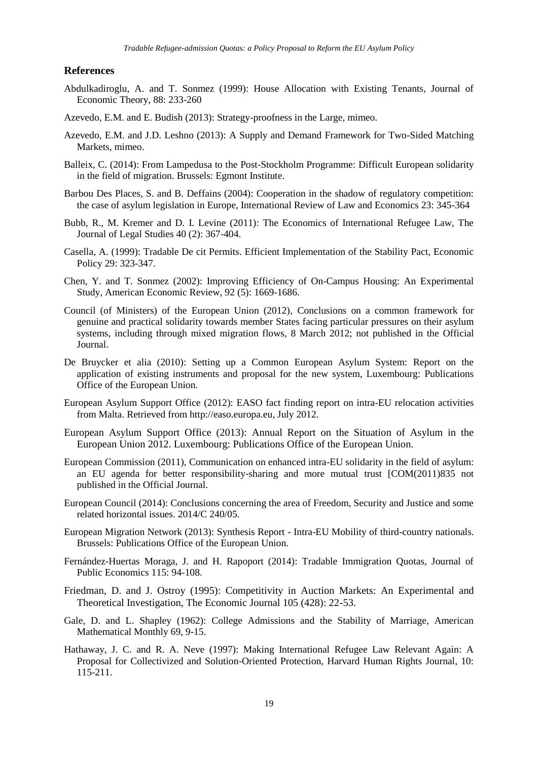#### **References**

- Abdulkadiroglu, A. and T. Sonmez (1999): House Allocation with Existing Tenants, Journal of Economic Theory, 88: 233-260
- Azevedo, E.M. and E. Budish (2013): Strategy-proofness in the Large, mimeo.
- Azevedo, E.M. and J.D. Leshno (2013): A Supply and Demand Framework for Two-Sided Matching Markets, mimeo.
- Balleix, C. (2014): From Lampedusa to the Post-Stockholm Programme: Difficult European solidarity in the field of migration. Brussels: Egmont Institute.
- Barbou Des Places, S. and B. Deffains (2004): Cooperation in the shadow of regulatory competition: the case of asylum legislation in Europe, International Review of Law and Economics 23: 345-364
- Bubb, R., M. Kremer and D. I. Levine (2011): The Economics of International Refugee Law, The Journal of Legal Studies 40 (2): 367-404.
- Casella, A. (1999): Tradable De cit Permits. Efficient Implementation of the Stability Pact, Economic Policy 29: 323-347.
- Chen, Y. and T. Sonmez (2002): Improving Efficiency of On-Campus Housing: An Experimental Study, American Economic Review, 92 (5): 1669-1686.
- Council (of Ministers) of the European Union (2012), Conclusions on a common framework for genuine and practical solidarity towards member States facing particular pressures on their asylum systems, including through mixed migration flows, 8 March 2012; not published in the Official Journal.
- De Bruycker et alia (2010): Setting up a Common European Asylum System: Report on the application of existing instruments and proposal for the new system, Luxembourg: Publications Office of the European Union.
- European Asylum Support Office (2012): EASO fact finding report on intra-EU relocation activities from Malta. Retrieved from [http://easo.europa.eu, Ju](http://easo.europa.eu)ly 2012.
- European Asylum Support Office (2013): Annual Report on the Situation of Asylum in the European Union 2012. Luxembourg: Publications Office of the European Union.
- European Commission (2011), Communication on enhanced intra-EU solidarity in the field of asylum: an EU agenda for better responsibility-sharing and more mutual trust [COM(2011)835 not published in the Official Journal.
- European Council (2014): Conclusions concerning the area of Freedom, Security and Justice and some related horizontal issues. 2014/C 240/05.
- European Migration Network (2013): Synthesis Report Intra-EU Mobility of third-country nationals. Brussels: Publications Office of the European Union.
- Fernández-Huertas Moraga, J. and H. Rapoport (2014): Tradable Immigration Quotas, Journal of Public Economics 115: 94-108.
- Friedman, D. and J. Ostroy (1995): Competitivity in Auction Markets: An Experimental and Theoretical Investigation, The Economic Journal 105 (428): 22-53.
- Gale, D. and L. Shapley (1962): College Admissions and the Stability of Marriage, American Mathematical Monthly 69, 9-15.
- Hathaway, J. C. and R. A. Neve (1997): Making International Refugee Law Relevant Again: A Proposal for Collectivized and Solution-Oriented Protection, Harvard Human Rights Journal, 10: 115-211.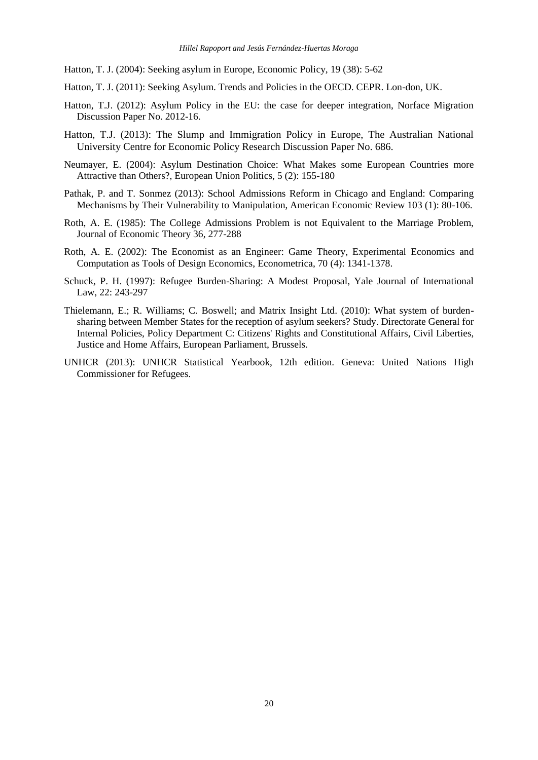Hatton, T. J. (2004): Seeking asylum in Europe, Economic Policy, 19 (38): 5-62

- Hatton, T. J. (2011): Seeking Asylum. Trends and Policies in the OECD. CEPR. Lon-don, UK.
- Hatton, T.J. (2012): Asylum Policy in the EU: the case for deeper integration, Norface Migration Discussion Paper No. 2012-16.
- Hatton, T.J. (2013): The Slump and Immigration Policy in Europe, The Australian National University Centre for Economic Policy Research Discussion Paper No. 686.
- Neumayer, E. (2004): Asylum Destination Choice: What Makes some European Countries more Attractive than Others?, European Union Politics, 5 (2): 155-180
- Pathak, P. and T. Sonmez (2013): School Admissions Reform in Chicago and England: Comparing Mechanisms by Their Vulnerability to Manipulation, American Economic Review 103 (1): 80-106.
- Roth, A. E. (1985): The College Admissions Problem is not Equivalent to the Marriage Problem, Journal of Economic Theory 36, 277-288
- Roth, A. E. (2002): The Economist as an Engineer: Game Theory, Experimental Economics and Computation as Tools of Design Economics, Econometrica, 70 (4): 1341-1378.
- Schuck, P. H. (1997): Refugee Burden-Sharing: A Modest Proposal, Yale Journal of International Law, 22: 243-297
- Thielemann, E.; R. Williams; C. Boswell; and Matrix Insight Ltd. (2010): What system of burdensharing between Member States for the reception of asylum seekers? Study. Directorate General for Internal Policies, Policy Department C: Citizens' Rights and Constitutional Affairs, Civil Liberties, Justice and Home Affairs, European Parliament, Brussels.
- UNHCR (2013): UNHCR Statistical Yearbook, 12th edition. Geneva: United Nations High Commissioner for Refugees.